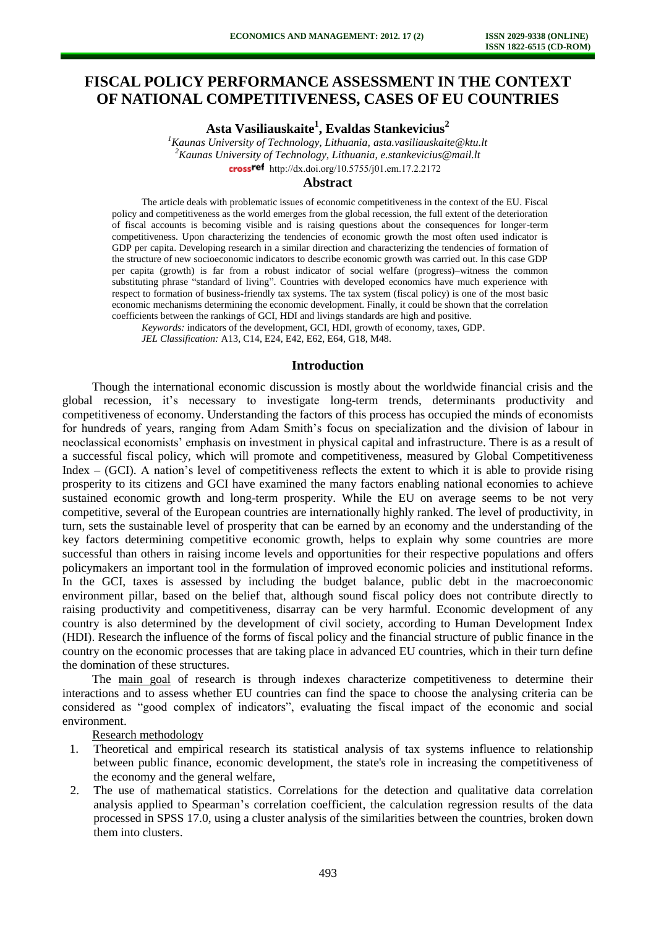# **FISCAL POLICY PERFORMANCE ASSESSMENT IN THE CONTEXT OF NATIONAL COMPETITIVENESS, CASES OF EU COUNTRIES**

**Asta Vasiliauskaite<sup>1</sup> , Evaldas Stankevicius<sup>2</sup>**

*<sup>1</sup>Kaunas University of Technology, Lithuania, asta.vasiliauskaite@ktu.lt <sup>2</sup>Kaunas University of Technology, Lithuania, e.stankevicius@mail.lt*  crossref [http://dx.doi.org/10.5755/j01.e](http://dx.doi.org/10.5755/j01.em.17.2.2172)m.17.2.2172

### **Abstract**

The article deals with problematic issues of economic competitiveness in the context of the EU. Fiscal policy and competitiveness as the world emerges from the global recession, the full extent of the deterioration of fiscal accounts is becoming visible and is raising questions about the consequences for longer-term competitiveness. Upon characterizing the tendencies of economic growth the most often used indicator is GDP per capita. Developing research in a similar direction and characterizing the tendencies of formation of the structure of new socioeconomic indicators to describe economic growth was carried out. In this case GDP per capita (growth) is far from a robust indicator of social welfare (progress)–witness the common substituting phrase "standard of living". Countries with developed economics have much experience with respect to formation of business-friendly tax systems. The tax system (fiscal policy) is one of the most basic economic mechanisms determining the economic development. Finally, it could be shown that the correlation coefficients between the rankings of GCI, HDI and livings standards are high and positive.

*Keywords:* indicators of the development, GCI, HDI, growth of economy, taxes, GDP.

*JEL Classification:* A13, C14, E24, E42, E62, E64, G18, M48.

#### **Introduction**

Though the international economic discussion is mostly about the worldwide financial crisis and the global recession, it's necessary to investigate long-term trends, determinants productivity and competitiveness of economy. Understanding the factors of this process has occupied the minds of economists for hundreds of years, ranging from Adam Smith's focus on specialization and the division of labour in neoclassical economists' emphasis on investment in physical capital and infrastructure. There is as a result of a successful fiscal policy, which will promote and competitiveness, measured by Global Competitiveness Index – (GCI). A nation's level of competitiveness reflects the extent to which it is able to provide rising prosperity to its citizens and GCI have examined the many factors enabling national economies to achieve sustained economic growth and long-term prosperity. While the EU on average seems to be not very competitive, several of the European countries are internationally highly ranked. The level of productivity, in turn, sets the sustainable level of prosperity that can be earned by an economy and the understanding of the key factors determining competitive economic growth, helps to explain why some countries are more successful than others in raising income levels and opportunities for their respective populations and offers policymakers an important tool in the formulation of improved economic policies and institutional reforms. In the GCI, taxes is assessed by including the budget balance, public debt in the macroeconomic environment pillar, based on the belief that, although sound fiscal policy does not contribute directly to raising productivity and competitiveness, disarray can be very harmful. Economic development of any country is also determined by the development of civil society, according to Human Development Index (HDI). Research the influence of the forms of fiscal policy and the financial structure of public finance in the country on the economic processes that are taking place in advanced EU countries, which in their turn define the domination of these structures.

The main goal of research is through indexes characterize competitiveness to determine their interactions and to assess whether EU countries can find the space to choose the analysing criteria can be considered as "good complex of indicators", evaluating the fiscal impact of the economic and social environment.

Research methodology

- 1. Theoretical and empirical research its statistical analysis of tax systems influence to relationship between public finance, economic development, the state's role in increasing the competitiveness of the economy and the general welfare,
- 2. The use of mathematical statistics. Correlations for the detection and qualitative data correlation analysis applied to Spearman's correlation coefficient, the calculation regression results of the data processed in SPSS 17.0, using a cluster analysis of the similarities between the countries, broken down them into clusters.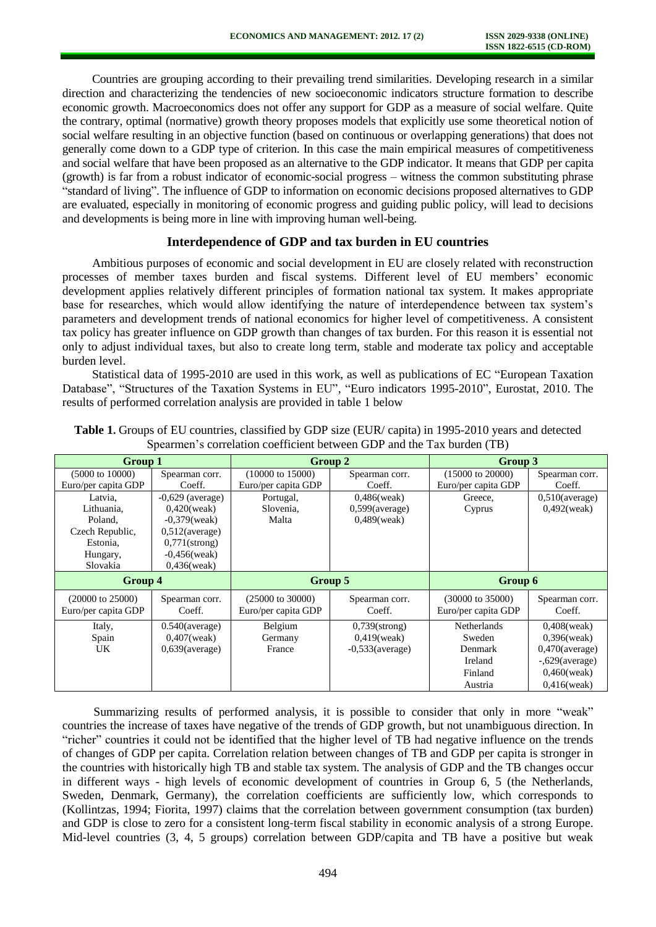Countries are grouping according to their prevailing trend similarities. Developing research in a similar direction and characterizing the tendencies of new socioeconomic indicators structure formation to describe economic growth. Macroeconomics does not offer any support for GDP as a measure of social welfare. Quite the contrary, optimal (normative) growth theory proposes models that explicitly use some theoretical notion of social welfare resulting in an objective function (based on continuous or overlapping generations) that does not generally come down to a GDP type of criterion. In this case the main empirical measures of competitiveness and social welfare that have been proposed as an alternative to the GDP indicator. It means that GDP per capita (growth) is far from a robust indicator of economic-social progress – witness the common substituting phrase "standard of living". The influence of GDP to information on economic decisions proposed alternatives to GDP are evaluated, especially in monitoring of economic progress and guiding public policy, will lead to decisions and developments is being more in line with improving human well-being.

# **Interdependence of GDP and tax burden in EU countries**

Ambitious purposes of economic and social development in EU are closely related with reconstruction processes of member taxes burden and fiscal systems. Different level of EU members' economic development applies relatively different principles of formation national tax system. It makes appropriate base for researches, which would allow identifying the nature of interdependence between tax system's parameters and development trends of national economics for higher level of competitiveness. A consistent tax policy has greater influence on GDP growth than changes of tax burden. For this reason it is essential not only to adjust individual taxes, but also to create long term, stable and moderate tax policy and acceptable burden level.

Statistical data of 1995-2010 are used in this work, as well as publications of EC "European Taxation Database", "Structures of the Taxation Systems in EU", "Euro indicators 1995-2010", Eurostat, 2010. The results of performed correlation analysis are provided in table 1 below

| Group 1                     |                    | Group 2                                       |                    | Group 3                     |                   |  |
|-----------------------------|--------------------|-----------------------------------------------|--------------------|-----------------------------|-------------------|--|
| $(5000 \text{ to } 10000)$  | Spearman corr.     | $(10000 \text{ to } 15000)$<br>Spearman corr. |                    | $(15000 \text{ to } 20000)$ | Spearman corr.    |  |
| Euro/per capita GDP         | Coeff.             | Euro/per capita GDP                           | Coeff.             | Euro/per capita GDP         | Coeff.            |  |
| Latvia.                     | $-0.629$ (average) | Portugal,                                     | $0,486$ (weak)     | Greece.                     | $0.510$ (average) |  |
| Lithuania.                  | $0,420$ (weak)     | Slovenia,                                     | $0,599$ (average)  | Cyprus                      | $0,492$ (weak)    |  |
| Poland.                     | $-0.379$ (weak)    | $0,489$ (weak)<br>Malta                       |                    |                             |                   |  |
| Czech Republic,             | $0,512$ (average)  |                                               |                    |                             |                   |  |
| Estonia.                    | $0,771$ (strong)   |                                               |                    |                             |                   |  |
| Hungary,                    | $-0,456$ (weak)    |                                               |                    |                             |                   |  |
| Slovakia                    | $0,436$ (weak)     |                                               |                    |                             |                   |  |
| Group 4                     |                    | Group 5                                       |                    | Group 6                     |                   |  |
| $(20000 \text{ to } 25000)$ | Spearman corr.     | $(25000 \text{ to } 30000)$                   | Spearman corr.     | $(30000 \text{ to } 35000)$ | Spearman corr.    |  |
| Euro/per capita GDP         | Coeff.             | Euro/per capita GDP                           | Coeff.             | Euro/per capita GDP         | Coeff.            |  |
| Italy,                      | $0.540$ (average)  | Belgium                                       | $0,739$ (strong)   | <b>Netherlands</b>          | $0,408$ (weak)    |  |
| Spain                       | $0,407$ (weak)     | Germany                                       | $0.419$ (weak)     | Sweden                      | $0.396$ (weak)    |  |
| UK                          | $0.639$ (average)  | France                                        | $-0.533$ (average) | Denmark                     | $0,470$ (average) |  |
|                             |                    |                                               |                    | Ireland                     | $-.629(average)$  |  |
|                             |                    |                                               |                    | Finland                     | $0,460$ (weak)    |  |
|                             |                    |                                               |                    | Austria                     | $0.416$ (weak)    |  |

**Table 1.** Groups of EU countries, classified by GDP size (EUR/ capita) in 1995-2010 years and detected Spearmen's correlation coefficient between GDP and the Tax burden (TB)

Summarizing results of performed analysis, it is possible to consider that only in more "weak" countries the increase of taxes have negative of the trends of GDP growth, but not unambiguous direction. In "richer" countries it could not be identified that the higher level of TB had negative influence on the trends of changes of GDP per capita. Correlation relation between changes of TB and GDP per capita is stronger in the countries with historically high TB and stable tax system. The analysis of GDP and the TB changes occur in different ways - high levels of economic development of countries in Group 6, 5 (the Netherlands, Sweden, Denmark, Germany), the correlation coefficients are sufficiently low, which corresponds to (Kollintzas, 1994; Fiorita, 1997) claims that the correlation between government consumption (tax burden) and GDP is close to zero for a consistent long-term fiscal stability in economic analysis of a strong Europe. Mid-level countries (3, 4, 5 groups) correlation between GDP/capita and TB have a positive but weak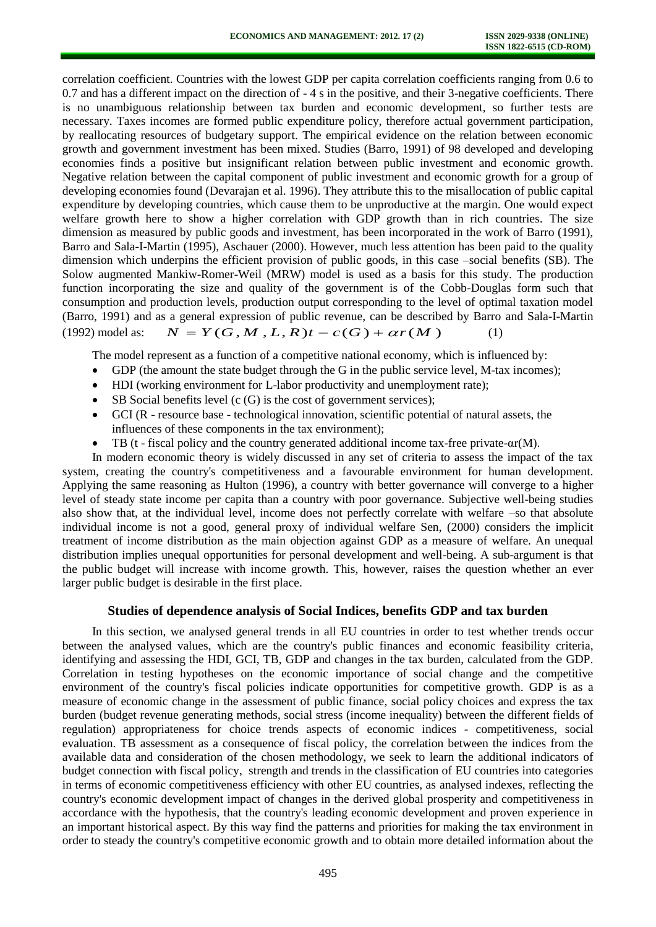correlation coefficient. Countries with the lowest GDP per capita correlation coefficients ranging from 0.6 to 0.7 and has a different impact on the direction of - 4 s in the positive, and their 3-negative coefficients. There is no unambiguous relationship between tax burden and economic development, so further tests are necessary. Taxes incomes are formed public expenditure policy, therefore actual government participation, by reallocating resources of budgetary support. The empirical evidence on the relation between economic growth and government investment has been mixed. Studies (Barro, 1991) of 98 developed and developing economies finds a positive but insignificant relation between public investment and economic growth. Negative relation between the capital component of public investment and economic growth for a group of developing economies found (Devarajan et al. 1996). They attribute this to the misallocation of public capital expenditure by developing countries, which cause them to be unproductive at the margin. One would expect welfare growth here to show a higher correlation with GDP growth than in rich countries. The size dimension as measured by public goods and investment, has been incorporated in the work of Barro (1991), Barro and Sala-I-Martin (1995), Aschauer (2000). However, much less attention has been paid to the quality dimension which underpins the efficient provision of public goods, in this case –social benefits (SB). The Solow augmented Mankiw-Romer-Weil (MRW) model is used as a basis for this study. The production function incorporating the size and quality of the government is of the Cobb-Douglas form such that consumption and production levels, production output corresponding to the level of optimal taxation model (Barro, 1991) and as a general expression of public revenue, can be described by Barro and Sala-I-Martin (1992) model as:  $N = Y(G,M,L,R)t - c(G) + \alpha r(M)$  (1)

The model represent as a function of a competitive national economy, which is influenced by:

- GDP (the amount the state budget through the G in the public service level, M-tax incomes);
- HDI (working environment for L-labor productivity and unemployment rate);
- SB Social benefits level (c (G) is the cost of government services);
- GCI (R resource base technological innovation, scientific potential of natural assets, the influences of these components in the tax environment);
- TB (t fiscal policy and the country generated additional income tax-free private- $\alpha r(M)$ .

In modern economic theory is widely discussed in any set of criteria to assess the impact of the tax system, creating the country's competitiveness and a favourable environment for human development. Applying the same reasoning as Hulton (1996), a country with better governance will converge to a higher level of steady state income per capita than a country with poor governance. Subjective well-being studies also show that, at the individual level, income does not perfectly correlate with welfare –so that absolute individual income is not a good, general proxy of individual welfare Sen, (2000) considers the implicit treatment of income distribution as the main objection against GDP as a measure of welfare. An unequal distribution implies unequal opportunities for personal development and well-being. A sub-argument is that the public budget will increase with income growth. This, however, raises the question whether an ever larger public budget is desirable in the first place.

# **Studies of dependence analysis of Social Indices, benefits GDP and tax burden**

In this section, we analysed general trends in all EU countries in order to test whether trends occur between the analysed values, which are the country's public finances and economic feasibility criteria, identifying and assessing the HDI, GCI, TB, GDP and changes in the tax burden, calculated from the GDP. Correlation in testing hypotheses on the economic importance of social change and the competitive environment of the country's fiscal policies indicate opportunities for competitive growth. GDP is as a measure of economic change in the assessment of public finance, social policy choices and express the tax burden (budget revenue generating methods, social stress (income inequality) between the different fields of regulation) appropriateness for choice trends aspects of economic indices - competitiveness, social evaluation. TB assessment as a consequence of fiscal policy, the correlation between the indices from the available data and consideration of the chosen methodology, we seek to learn the additional indicators of budget connection with fiscal policy, strength and trends in the classification of EU countries into categories in terms of economic competitiveness efficiency with other EU countries, as analysed indexes, reflecting the country's economic development impact of changes in the derived global prosperity and competitiveness in accordance with the hypothesis, that the country's leading economic development and proven experience in an important historical aspect. By this way find the patterns and priorities for making the tax environment in order to steady the country's competitive economic growth and to obtain more detailed information about the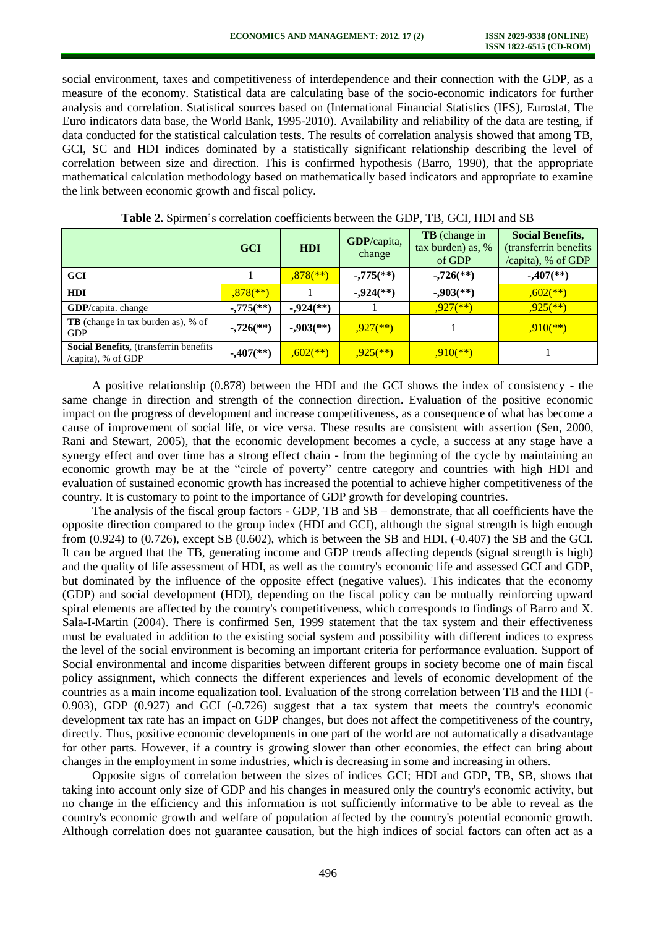social environment, taxes and competitiveness of interdependence and their connection with the GDP, as a measure of the economy. Statistical data are calculating base of the socio-economic indicators for further analysis and correlation. Statistical sources based on (International Financial Statistics (IFS), Eurostat, The Euro indicators data base, the World Bank, 1995-2010). Availability and reliability of the data are testing, if data conducted for the statistical calculation tests. The results of correlation analysis showed that among TB, GCI, SC and HDI indices dominated by a statistically significant relationship describing the level of correlation between size and direction. This is confirmed hypothesis (Barro, 1990), that the appropriate mathematical calculation methodology based on mathematically based indicators and appropriate to examine the link between economic growth and fiscal policy.

|                                                                      | <b>GCI</b>                | HDI                        | GDP/capita,<br>change      | <b>TB</b> (change in<br>tax burden) as, %<br>of GDP | <b>Social Benefits,</b><br>(transferrin benefits)<br>/capita), % of GDP |
|----------------------------------------------------------------------|---------------------------|----------------------------|----------------------------|-----------------------------------------------------|-------------------------------------------------------------------------|
| <b>GCI</b>                                                           |                           | $,878$ <sup>**</sup> )     | $-0.775$ <sup>**</sup> )   | $-726$ <sup>**</sup> )                              | $-0.407$ <sup>(**)</sup> )                                              |
| <b>HDI</b>                                                           | $,878$ <sup>**</sup> )    |                            | $-0.924$ <sup>(**)</sup> ) | $-0.903$ <sup>**</sup> )                            | $,602$ <sup>**</sup> )                                                  |
| <b>GDP</b> /capita. change                                           | $-0.775$ <sup>(**)</sup>  | $-0.924$ <sup>(**)</sup> ) |                            | $,927$ <sup>**</sup> )                              | $.925$ <sup>**</sup> )                                                  |
| <b>TB</b> (change in tax burden as), % of<br><b>GDP</b>              | $-726$ <sup>**</sup> )    | $-0.903$ <sup>**</sup> )   | $.927$ <sup>**</sup> )     |                                                     | $.910(**)$                                                              |
| <b>Social Benefits, (transferrin benefits)</b><br>/capita), % of GDP | $-.407$ <sup>(**)</sup> ) | $,602$ <sup>**</sup> )     | $.925$ <sup>**</sup> )     | $,910(**)$                                          |                                                                         |

**Table 2.** Spirmen's correlation coefficients between the GDP, TB, GCI, HDI and SB

A positive relationship (0.878) between the HDI and the GCI shows the index of consistency - the same change in direction and strength of the connection direction. Evaluation of the positive economic impact on the progress of development and increase competitiveness, as a consequence of what has become a cause of improvement of social life, or vice versa. These results are consistent with assertion (Sen, 2000, Rani and Stewart, 2005), that the economic development becomes a cycle, a success at any stage have a synergy effect and over time has a strong effect chain - from the beginning of the cycle by maintaining an economic growth may be at the "circle of poverty" centre category and countries with high HDI and evaluation of sustained economic growth has increased the potential to achieve higher competitiveness of the country. It is customary to point to the importance of GDP growth for developing countries.

The analysis of the fiscal group factors - GDP, TB and SB – demonstrate, that all coefficients have the opposite direction compared to the group index (HDI and GCI), although the signal strength is high enough from  $(0.924)$  to  $(0.726)$ , except SB  $(0.602)$ , which is between the SB and HDI,  $(-0.407)$  the SB and the GCI. It can be argued that the TB, generating income and GDP trends affecting depends (signal strength is high) and the quality of life assessment of HDI, as well as the country's economic life and assessed GCI and GDP, but dominated by the influence of the opposite effect (negative values). This indicates that the economy (GDP) and social development (HDI), depending on the fiscal policy can be mutually reinforcing upward spiral elements are affected by the country's competitiveness, which corresponds to findings of Barro and X. Sala-I-Martin (2004). There is confirmed Sen, 1999 statement that the tax system and their effectiveness must be evaluated in addition to the existing social system and possibility with different indices to express the level of the social environment is becoming an important criteria for performance evaluation. Support of Social environmental and income disparities between different groups in society become one of main fiscal policy assignment, which connects the different experiences and levels of economic development of the countries as a main income equalization tool. Evaluation of the strong correlation between TB and the HDI (- 0.903), GDP (0.927) and GCI (-0.726) suggest that a tax system that meets the country's economic development tax rate has an impact on GDP changes, but does not affect the competitiveness of the country, directly. Thus, positive economic developments in one part of the world are not automatically a disadvantage for other parts. However, if a country is growing slower than other economies, the effect can bring about changes in the employment in some industries, which is decreasing in some and increasing in others.

Opposite signs of correlation between the sizes of indices GCI; HDI and GDP, TB, SB, shows that taking into account only size of GDP and his changes in measured only the country's economic activity, but no change in the efficiency and this information is not sufficiently informative to be able to reveal as the country's economic growth and welfare of population affected by the country's potential economic growth. Although correlation does not guarantee causation, but the high indices of social factors can often act as a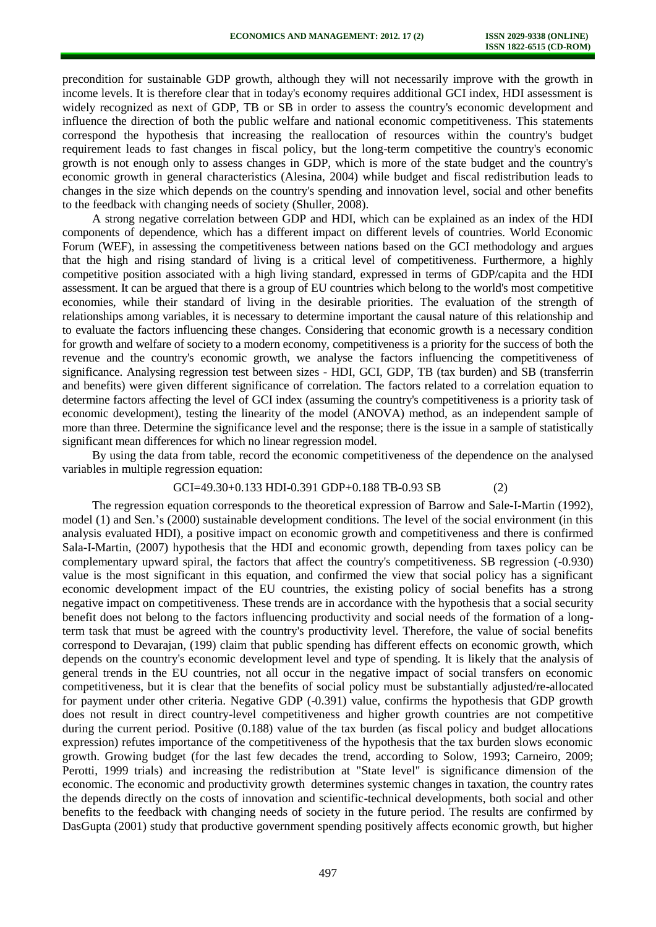precondition for sustainable GDP growth, although they will not necessarily improve with the growth in income levels. It is therefore clear that in today's economy requires additional GCI index, HDI assessment is widely recognized as next of GDP, TB or SB in order to assess the country's economic development and influence the direction of both the public welfare and national economic competitiveness. This statements correspond the hypothesis that increasing the reallocation of resources within the country's budget requirement leads to fast changes in fiscal policy, but the long-term competitive the country's economic growth is not enough only to assess changes in GDP, which is more of the state budget and the country's economic growth in general characteristics (Alesina, 2004) while budget and fiscal redistribution leads to changes in the size which depends on the country's spending and innovation level, social and other benefits to the feedback with changing needs of society (Shuller, 2008).

A strong negative correlation between GDP and HDI, which can be explained as an index of the HDI components of dependence, which has a different impact on different levels of countries. World Economic Forum (WEF), in assessing the competitiveness between nations based on the GCI methodology and argues that the high and rising standard of living is a critical level of competitiveness. Furthermore, a highly competitive position associated with a high living standard, expressed in terms of GDP/capita and the HDI assessment. It can be argued that there is a group of EU countries which belong to the world's most competitive economies, while their standard of living in the desirable priorities. The evaluation of the strength of relationships among variables, it is necessary to determine important the causal nature of this relationship and to evaluate the factors influencing these changes. Considering that economic growth is a necessary condition for growth and welfare of society to a modern economy, competitiveness is a priority for the success of both the revenue and the country's economic growth, we analyse the factors influencing the competitiveness of significance. Analysing regression test between sizes - HDI, GCI, GDP, TB (tax burden) and SB (transferrin and benefits) were given different significance of correlation. The factors related to a correlation equation to determine factors affecting the level of GCI index (assuming the country's competitiveness is a priority task of economic development), testing the linearity of the model (ANOVA) method, as an independent sample of more than three. Determine the significance level and the response; there is the issue in a sample of statistically significant mean differences for which no linear regression model.

By using the data from table, record the economic competitiveness of the dependence on the analysed variables in multiple regression equation:

# GCI=49.30+0.133 HDI-0.391 GDP+0.188 TB-0.93 SB (2)

The regression equation corresponds to the theoretical expression of Barrow and Sale-I-Martin (1992), model (1) and Sen.'s (2000) sustainable development conditions. The level of the social environment (in this analysis evaluated HDI), a positive impact on economic growth and competitiveness and there is confirmed Sala-I-Martin, (2007) hypothesis that the HDI and economic growth, depending from taxes policy can be complementary upward spiral, the factors that affect the country's competitiveness. SB regression (-0.930) value is the most significant in this equation, and confirmed the view that social policy has a significant economic development impact of the EU countries, the existing policy of social benefits has a strong negative impact on competitiveness. These trends are in accordance with the hypothesis that a social security benefit does not belong to the factors influencing productivity and social needs of the formation of a longterm task that must be agreed with the country's productivity level. Therefore, the value of social benefits correspond to Devarajan, (199) claim that public spending has different effects on economic growth, which depends on the country's economic development level and type of spending. It is likely that the analysis of general trends in the EU countries, not all occur in the negative impact of social transfers on economic competitiveness, but it is clear that the benefits of social policy must be substantially adjusted/re-allocated for payment under other criteria. Negative GDP (-0.391) value, confirms the hypothesis that GDP growth does not result in direct country-level competitiveness and higher growth countries are not competitive during the current period. Positive (0.188) value of the tax burden (as fiscal policy and budget allocations expression) refutes importance of the competitiveness of the hypothesis that the tax burden slows economic growth. Growing budget (for the last few decades the trend, according to Solow, 1993; Carneiro, 2009; Perotti, 1999 trials) and increasing the redistribution at "State level" is significance dimension of the economic. The economic and productivity growth determines systemic changes in taxation, the country rates the depends directly on the costs of innovation and scientific-technical developments, both social and other benefits to the feedback with changing needs of society in the future period. The results are confirmed by DasGupta (2001) study that productive government spending positively affects economic growth, but higher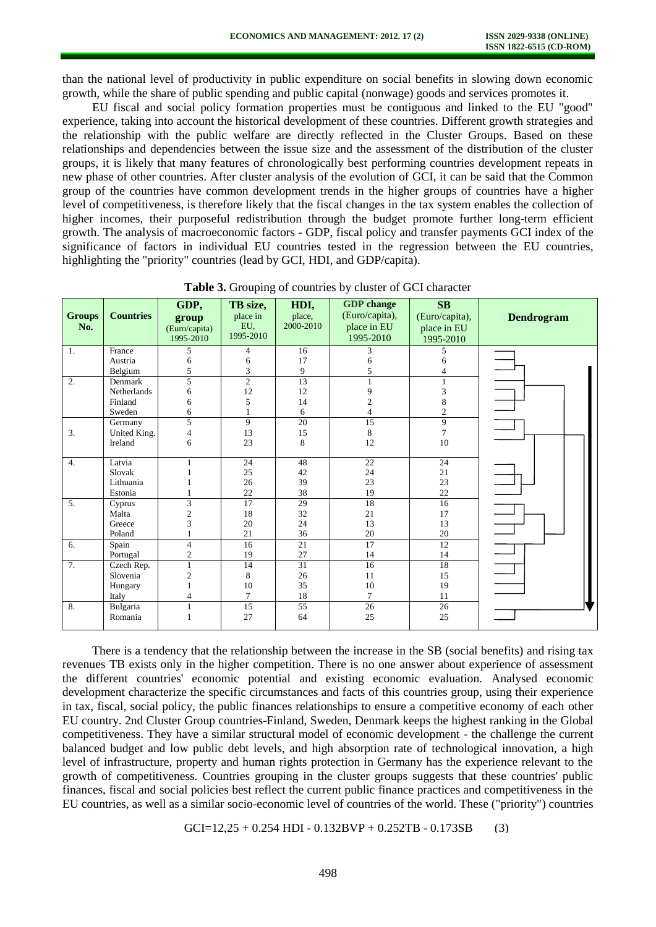than the national level of productivity in public expenditure on social benefits in slowing down economic growth, while the share of public spending and public capital (nonwage) goods and services promotes it.

EU fiscal and social policy formation properties must be contiguous and linked to the EU "good" experience, taking into account the historical development of these countries. Different growth strategies and the relationship with the public welfare are directly reflected in the Cluster Groups. Based on these relationships and dependencies between the issue size and the assessment of the distribution of the cluster groups, it is likely that many features of chronologically best performing countries development repeats in new phase of other countries. After cluster analysis of the evolution of GCI, it can be said that the Common group of the countries have common development trends in the higher groups of countries have a higher level of competitiveness, is therefore likely that the fiscal changes in the tax system enables the collection of higher incomes, their purposeful redistribution through the budget promote further long-term efficient growth. The analysis of macroeconomic factors - GDP, fiscal policy and transfer payments GCI index of the significance of factors in individual EU countries tested in the regression between the EU countries, highlighting the "priority" countries (lead by GCI, HDI, and GDP/capita).

| <b>Groups</b><br>No. | <b>Countries</b> | GDP,<br>group<br>(Euro/capita)<br>1995-2010 | TB size,<br>place in<br>EU.<br>1995-2010 | HDI,<br>place,<br>2000-2010 | <b>GDP</b> change<br>(Euro/capita),<br>place in EU<br>1995-2010 | SB<br>(Euro/capita),<br>place in EU<br>1995-2010 | <b>Dendrogram</b> |
|----------------------|------------------|---------------------------------------------|------------------------------------------|-----------------------------|-----------------------------------------------------------------|--------------------------------------------------|-------------------|
| 1.                   | France           | 5                                           | 4                                        | 16                          | 3                                                               | 5                                                |                   |
|                      | Austria          | 6                                           | 6                                        | 17                          | 6                                                               | 6                                                |                   |
|                      | Belgium          | 5                                           | 3                                        | 9                           | 5                                                               |                                                  |                   |
| 2.                   | Denmark          | 5                                           | $\overline{2}$                           | 13                          |                                                                 |                                                  |                   |
|                      | Netherlands      | 6                                           | 12                                       | 12                          | $\mathbf Q$                                                     | 3                                                |                   |
|                      | Finland          | 6                                           | 5                                        | 14                          | $\overline{c}$                                                  | 8                                                |                   |
|                      | Sweden           | 6                                           |                                          | 6                           | 4                                                               | $\overline{c}$                                   |                   |
|                      | Germany          | 5                                           | 9                                        | 20                          | 15                                                              | 9                                                |                   |
| 3.                   | United King.     | $\overline{4}$                              | 13                                       | 15                          | 8                                                               |                                                  |                   |
|                      | Ireland          | 6                                           | 23                                       | 8                           | 12                                                              | 10                                               |                   |
| 4.                   | Latvia           |                                             | 24                                       | 48                          | 22                                                              | 24                                               |                   |
|                      | Slovak           |                                             | 25                                       | 42                          | 24                                                              | 21                                               |                   |
|                      | Lithuania        |                                             | 26                                       | 39                          | 23                                                              | 23                                               |                   |
|                      | Estonia          |                                             | 22                                       | 38                          | 19                                                              | 22                                               |                   |
| 5.                   | Cyprus           | 3                                           | 17                                       | 29                          | 18                                                              | 16                                               | $\frac{1}{\Box}$  |
|                      | Malta            | $\overline{2}$                              | 18                                       | 32                          | 21                                                              | 17                                               |                   |
|                      | Greece           | 3                                           | 20                                       | 24                          | 13                                                              | 13                                               |                   |
|                      | Poland           |                                             | 21                                       | 36                          | 20                                                              | 20                                               |                   |
| 6.                   | Spain            | $\overline{4}$                              | 16                                       | 21                          | 17                                                              | 12                                               |                   |
|                      | Portugal         | $\mathfrak{2}$                              | 19                                       | 27                          | 14                                                              | 14                                               |                   |
| 7.                   | Czech Rep.       |                                             | 14                                       | $\overline{31}$             | 16                                                              | 18                                               |                   |
|                      | Slovenia         | $\overline{c}$                              | 8                                        | 26                          | 11                                                              | 15                                               |                   |
|                      | Hungary          |                                             | 10                                       | 35                          | 10                                                              | 19                                               |                   |
|                      | Italy            |                                             | $\overline{7}$                           | 18                          | $\tau$                                                          | 11                                               |                   |
| 8.                   | Bulgaria         |                                             | 15                                       | 55                          | 26                                                              | 26                                               |                   |
|                      | Romania          |                                             | 27                                       | 64                          | 25                                                              | 25                                               |                   |
|                      |                  |                                             |                                          |                             |                                                                 |                                                  |                   |

**Table 3.** Grouping of countries by cluster of GCI character

There is a tendency that the relationship between the increase in the SB (social benefits) and rising tax revenues TB exists only in the higher competition. There is no one answer about experience of assessment the different countries' economic potential and existing economic evaluation. Analysed economic development characterize the specific circumstances and facts of this countries group, using their experience in tax, fiscal, social policy, the public finances relationships to ensure a competitive economy of each other EU country. 2nd Cluster Group countries-Finland, Sweden, Denmark keeps the highest ranking in the Global competitiveness. They have a similar structural model of economic development - the challenge the current balanced budget and low public debt levels, and high absorption rate of technological innovation, a high level of infrastructure, property and human rights protection in Germany has the experience relevant to the growth of competitiveness. Countries grouping in the cluster groups suggests that these countries' public finances, fiscal and social policies best reflect the current public finance practices and competitiveness in the EU countries, as well as a similar socio-economic level of countries of the world. These ("priority") countries

 $GCI=12.25 + 0.254$  HDI - 0.132BVP + 0.252TB - 0.173SB (3)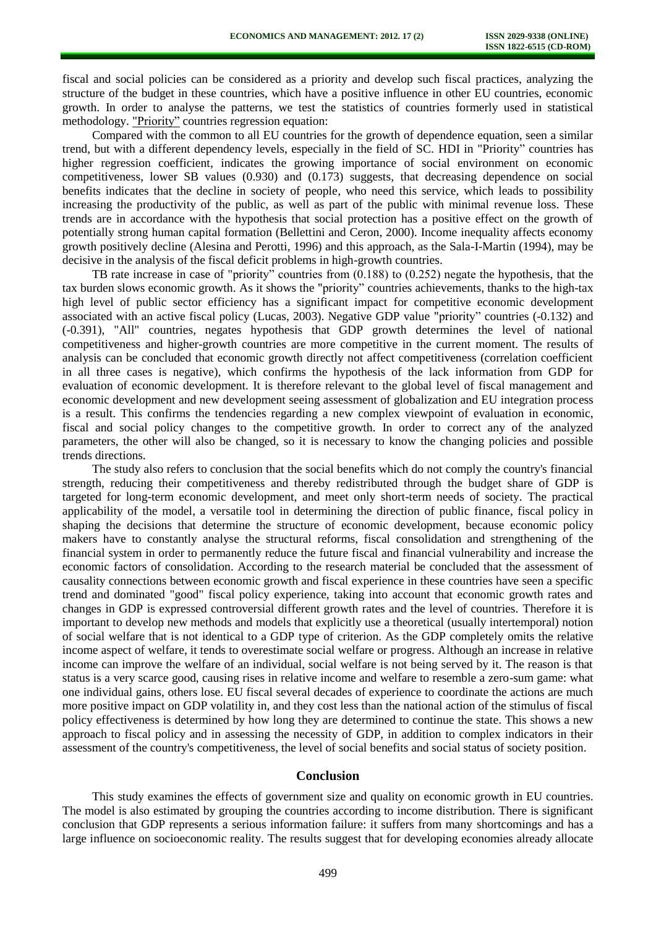fiscal and social policies can be considered as a priority and develop such fiscal practices, analyzing the structure of the budget in these countries, which have a positive influence in other EU countries, economic growth. In order to analyse the patterns, we test the statistics of countries formerly used in statistical methodology. "Priority" countries regression equation:

Compared with the common to all EU countries for the growth of dependence equation, seen a similar trend, but with a different dependency levels, especially in the field of SC. HDI in "Priority" countries has higher regression coefficient, indicates the growing importance of social environment on economic competitiveness, lower SB values (0.930) and (0.173) suggests, that decreasing dependence on social benefits indicates that the decline in society of people, who need this service, which leads to possibility increasing the productivity of the public, as well as part of the public with minimal revenue loss. These trends are in accordance with the hypothesis that social protection has a positive effect on the growth of potentially strong human capital formation (Bellettini and Ceron, 2000). Income inequality affects economy growth positively decline (Alesina and Perotti, 1996) and this approach, as the Sala-I-Martin (1994), may be decisive in the analysis of the fiscal deficit problems in high-growth countries.

TB rate increase in case of "priority" countries from (0.188) to (0.252) negate the hypothesis, that the tax burden slows economic growth. As it shows the "priority" countries achievements, thanks to the high-tax high level of public sector efficiency has a significant impact for competitive economic development associated with an active fiscal policy (Lucas, 2003). Negative GDP value "priority" countries (-0.132) and (-0.391), "All" countries, negates hypothesis that GDP growth determines the level of national competitiveness and higher-growth countries are more competitive in the current moment. The results of analysis can be concluded that economic growth directly not affect competitiveness (correlation coefficient in all three cases is negative), which confirms the hypothesis of the lack information from GDP for evaluation of economic development. It is therefore relevant to the global level of fiscal management and economic development and new development seeing assessment of globalization and EU integration process is a result. This confirms the tendencies regarding a new complex viewpoint of evaluation in economic, fiscal and social policy changes to the competitive growth. In order to correct any of the analyzed parameters, the other will also be changed, so it is necessary to know the changing policies and possible trends directions.

The study also refers to conclusion that the social benefits which do not comply the country's financial strength, reducing their competitiveness and thereby redistributed through the budget share of GDP is targeted for long-term economic development, and meet only short-term needs of society. The practical applicability of the model, a versatile tool in determining the direction of public finance, fiscal policy in shaping the decisions that determine the structure of economic development, because economic policy makers have to constantly analyse the structural reforms, fiscal consolidation and strengthening of the financial system in order to permanently reduce the future fiscal and financial vulnerability and increase the economic factors of consolidation. According to the research material be concluded that the assessment of causality connections between economic growth and fiscal experience in these countries have seen a specific trend and dominated "good" fiscal policy experience, taking into account that economic growth rates and changes in GDP is expressed controversial different growth rates and the level of countries. Therefore it is important to develop new methods and models that explicitly use a theoretical (usually intertemporal) notion of social welfare that is not identical to a GDP type of criterion. As the GDP completely omits the relative income aspect of welfare, it tends to overestimate social welfare or progress. Although an increase in relative income can improve the welfare of an individual, social welfare is not being served by it. The reason is that status is a very scarce good, causing rises in relative income and welfare to resemble a zero-sum game: what one individual gains, others lose. EU fiscal several decades of experience to coordinate the actions are much more positive impact on GDP volatility in, and they cost less than the national action of the stimulus of fiscal policy effectiveness is determined by how long they are determined to continue the state. This shows a new approach to fiscal policy and in assessing the necessity of GDP, in addition to complex indicators in their assessment of the country's competitiveness, the level of social benefits and social status of society position.

### **Conclusion**

This study examines the effects of government size and quality on economic growth in EU countries. The model is also estimated by grouping the countries according to income distribution. There is significant conclusion that GDP represents a serious information failure: it suffers from many shortcomings and has a large influence on socioeconomic reality. The results suggest that for developing economies already allocate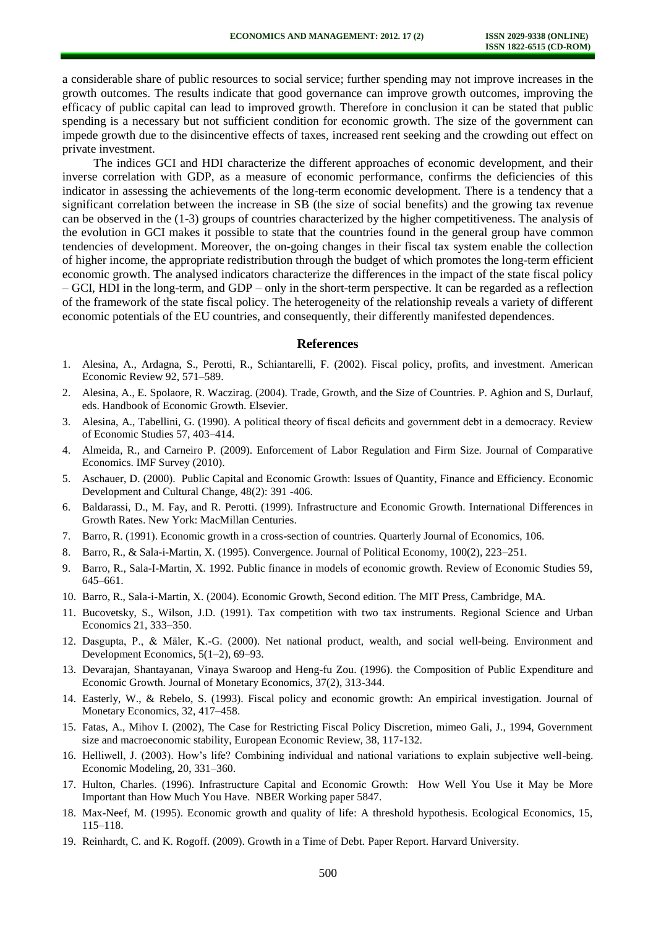a considerable share of public resources to social service; further spending may not improve increases in the growth outcomes. The results indicate that good governance can improve growth outcomes, improving the efficacy of public capital can lead to improved growth. Therefore in conclusion it can be stated that public spending is a necessary but not sufficient condition for economic growth. The size of the government can impede growth due to the disincentive effects of taxes, increased rent seeking and the crowding out effect on private investment.

The indices GCI and HDI characterize the different approaches of economic development, and their inverse correlation with GDP, as a measure of economic performance, confirms the deficiencies of this indicator in assessing the achievements of the long-term economic development. There is a tendency that a significant correlation between the increase in SB (the size of social benefits) and the growing tax revenue can be observed in the (1-3) groups of countries characterized by the higher competitiveness. The analysis of the evolution in GCI makes it possible to state that the countries found in the general group have common tendencies of development. Moreover, the on-going changes in their fiscal tax system enable the collection of higher income, the appropriate redistribution through the budget of which promotes the long-term efficient economic growth. The analysed indicators characterize the differences in the impact of the state fiscal policy – GCI, HDI in the long-term, and GDP – only in the short-term perspective. It can be regarded as a reflection of the framework of the state fiscal policy. The heterogeneity of the relationship reveals a variety of different economic potentials of the EU countries, and consequently, their differently manifested dependences.

#### **References**

- 1. Alesina, A., Ardagna, S., Perotti, R., Schiantarelli, F. (2002). Fiscal policy, profits, and investment. American Economic Review 92, 571–589.
- 2. Alesina, A., E. Spolaore, R. Waczirag. (2004). Trade, Growth, and the Size of Countries. P. Aghion and S, Durlauf, eds. Handbook of Economic Growth. Elsevier.
- 3. Alesina, A., Tabellini, G. (1990). A political theory of fiscal deficits and government debt in a democracy. Review of Economic Studies 57, 403–414.
- 4. Almeida, R., and Carneiro P. (2009). Enforcement of Labor Regulation and Firm Size. Journal of Comparative Economics. IMF Survey (2010).
- 5. Aschauer, D. (2000). Public Capital and Economic Growth: Issues of Quantity, Finance and Efficiency. Economic Development and Cultural Change, 48(2): 391 -406.
- 6. Baldarassi, D., M. Fay, and R. Perotti. (1999). Infrastructure and Economic Growth. International Differences in Growth Rates. New York: MacMillan Centuries.
- 7. Barro, R. (1991). Economic growth in a cross-section of countries. Quarterly Journal of Economics, 106.
- 8. Barro, R., & Sala-i-Martin, X. (1995). Convergence. Journal of Political Economy, 100(2), 223–251.
- 9. Barro, R., Sala-I-Martin, X. 1992. Public finance in models of economic growth. Review of Economic Studies 59, 645–661.
- 10. Barro, R., Sala-i-Martin, X. (2004). Economic Growth, Second edition. The MIT Press, Cambridge, MA.
- 11. Bucovetsky, S., Wilson, J.D. (1991). Tax competition with two tax instruments. Regional Science and Urban Economics 21, 333–350.
- 12. Dasgupta, P., & Mäler, K.-G. (2000). Net national product, wealth, and social well-being. Environment and Development Economics, 5(1–2), 69–93.
- 13. Devarajan, Shantayanan, Vinaya Swaroop and Heng-fu Zou. (1996). the Composition of Public Expenditure and Economic Growth. Journal of Monetary Economics, 37(2), 313-344.
- 14. Easterly, W., & Rebelo, S. (1993). Fiscal policy and economic growth: An empirical investigation. Journal of Monetary Economics, 32, 417–458.
- 15. Fatas, A., Mihov I. (2002), The Case for Restricting Fiscal Policy Discretion, mimeo Gali, J., 1994, Government size and macroeconomic stability, European Economic Review, 38, 117-132.
- 16. Helliwell, J. (2003). How's life? Combining individual and national variations to explain subjective well-being. Economic Modeling, 20, 331–360.
- 17. Hulton, Charles. (1996). Infrastructure Capital and Economic Growth: How Well You Use it May be More Important than How Much You Have. NBER Working paper 5847.
- 18. Max-Neef, M. (1995). Economic growth and quality of life: A threshold hypothesis. Ecological Economics, 15, 115–118.
- 19. Reinhardt, C. and K. Rogoff. (2009). Growth in a Time of Debt. Paper Report. Harvard University.